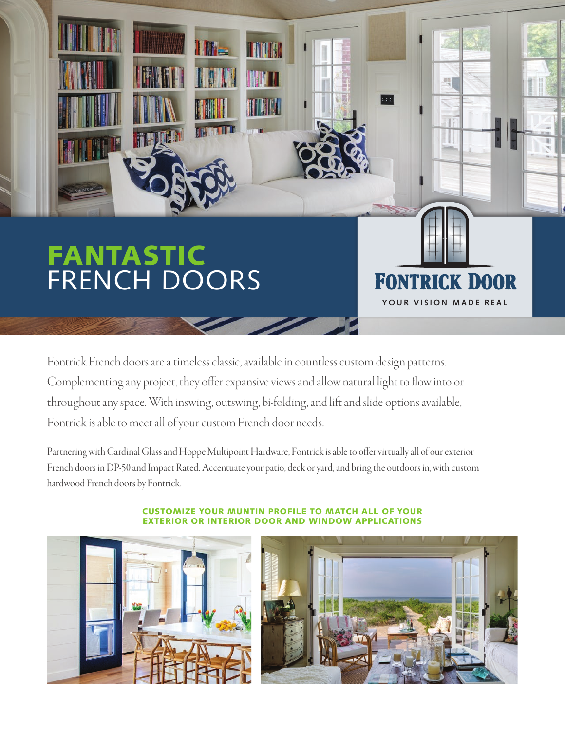## FANTASTIC FRENCH DOORS

Fontrick French doors are a timeless classic, available in countless custom design patterns. Complementing any project, they offer expansive views and allow natural light to flow into or throughout any space. With inswing, outswing, bi-folding, and lift and slide options available, Fontrick is able to meet all of your custom French door needs.

Partnering with Cardinal Glass and Hoppe Multipoint Hardware, Fontrick is able to offer virtually all of our exterior French doors in DP-50 and Impact Rated. Accentuate your patio, deck or yard, and bring the outdoors in, with custom hardwood French doors by Fontrick.



## CUSTOMIZE YOUR MUNTIN PROFILE TO MATCH ALL OF YOUR EXTERIOR OR INTERIOR DOOR AND WINDOW APPLICATIONS



**YOUR VISION MADE REAL**

**FONTRICK DOOR**